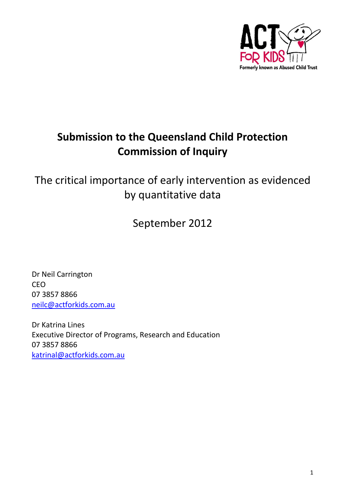

# **Submission to the Queensland Child Protection Commission of Inquiry**

The critical importance of early intervention as evidenced by quantitative data

September 2012

Dr Neil Carrington CEO 07 3857 8866 [neilc@actforkids.com.au](mailto:neilc@actforkids.com.au)

Dr Katrina Lines Executive Director of Programs, Research and Education 07 3857 8866 [katrinal@actforkids.com.au](mailto:katrinal@actforkids.com.au)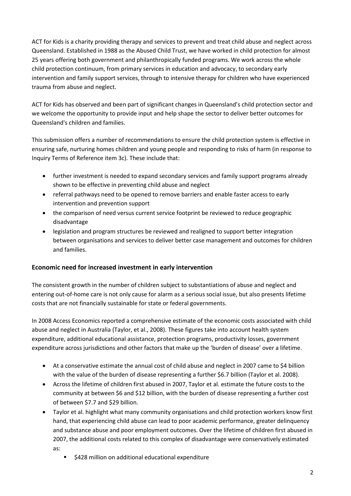ACT for Kids is a charity providing therapy and services to prevent and treat child abuse and neglect across Queensland. Established in 1988 as the Abused Child Trust, we have worked in child protection for almost 25 years offering both government and philanthropically funded programs. We work across the whole child protection continuum, from primary services in education and advocacy, to secondary early intervention and family support services, through to intensive therapy for children who have experienced trauma from abuse and neglect.

ACT for Kids has observed and been part of significant changes in Queensland's child protection sector and we welcome the opportunity to provide input and help shape the sector to deliver better outcomes for Queensland's children and families.

This submission offers a number of recommendations to ensure the child protection system is effective in ensuring safe, nurturing homes children and young people and responding to risks of harm (in response to Inquiry Terms of Reference item 3c). These include that:

- further investment is needed to expand secondary services and family support programs already shown to be effective in preventing child abuse and neglect
- referral pathways need to be opened to remove barriers and enable faster access to early intervention and prevention support
- the comparison of need versus current service footprint be reviewed to reduce geographic disadvantage
- legislation and program structures be reviewed and realigned to support better integration between organisations and services to deliver better case management and outcomes for children and families.

# **Economic need for increased investment in early intervention**

The consistent growth in the number of children subject to substantiations of abuse and neglect and entering out-of-home care is not only cause for alarm as a serious social issue, but also presents lifetime costs that are not financially sustainable for state or federal governments.

In 2008 Access Economics reported a comprehensive estimate of the economic costs associated with child abuse and neglect in Australia (Taylor, et al., 2008). These figures take into account health system expenditure, additional educational assistance, protection programs, productivity losses, government expenditure across jurisdictions and other factors that make up the 'burden of disease' over a lifetime.

- At a conservative estimate the annual cost of child abuse and neglect in 2007 came to \$4 billion with the value of the burden of disease representing a further \$6.7 billion (Taylor et al. 2008).
- Across the lifetime of children first abused in 2007, Taylor et al. estimate the future costs to the community at between \$6 and \$12 billion, with the burden of disease representing a further cost of between \$7.7 and \$29 billion.
- Taylor et al. highlight what many community organisations and child protection workers know first hand, that experiencing child abuse can lead to poor academic performance, greater delinquency and substance abuse and poor employment outcomes. Over the lifetime of children first abused in 2007, the additional costs related to this complex of disadvantage were conservatively estimated as:
	- \$428 million on additional educational expenditure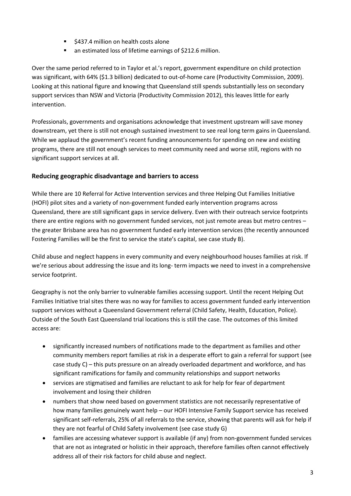- \$437.4 million on health costs alone
- an estimated loss of lifetime earnings of \$212.6 million.

Over the same period referred to in Taylor et al.'s report, government expenditure on child protection was significant, with 64% (\$1.3 billion) dedicated to out-of-home care (Productivity Commission, 2009). Looking at this national figure and knowing that Queensland still spends substantially less on secondary support services than NSW and Victoria (Productivity Commission 2012), this leaves little for early intervention.

Professionals, governments and organisations acknowledge that investment upstream will save money downstream, yet there is still not enough sustained investment to see real long term gains in Queensland. While we applaud the government's recent funding announcements for spending on new and existing programs, there are still not enough services to meet community need and worse still, regions with no significant support services at all.

# **Reducing geographic disadvantage and barriers to access**

While there are 10 Referral for Active Intervention services and three Helping Out Families Initiative (HOFI) pilot sites and a variety of non-government funded early intervention programs across Queensland, there are still significant gaps in service delivery. Even with their outreach service footprints there are entire regions with no government funded services, not just remote areas but metro centres – the greater Brisbane area has no government funded early intervention services (the recently announced Fostering Families will be the first to service the state's capital, see case study B).

Child abuse and neglect happens in every community and every neighbourhood houses families at risk. If we're serious about addressing the issue and its long- term impacts we need to invest in a comprehensive service footprint.

Geography is not the only barrier to vulnerable families accessing support. Until the recent Helping Out Families Initiative trial sites there was no way for families to access government funded early intervention support services without a Queensland Government referral (Child Safety, Health, Education, Police). Outside of the South East Queensland trial locations this is still the case. The outcomes of this limited access are:

- significantly increased numbers of notifications made to the department as families and other community members report families at risk in a desperate effort to gain a referral for support (see case study C) – this puts pressure on an already overloaded department and workforce, and has significant ramifications for family and community relationships and support networks
- services are stigmatised and families are reluctant to ask for help for fear of department involvement and losing their children
- numbers that show need based on government statistics are not necessarily representative of how many families genuinely want help – our HOFI Intensive Family Support service has received significant self-referrals, 25% of all referrals to the service, showing that parents will ask for help if they are not fearful of Child Safety involvement (see case study G)
- families are accessing whatever support is available (if any) from non-government funded services that are not as integrated or holistic in their approach, therefore families often cannot effectively address all of their risk factors for child abuse and neglect.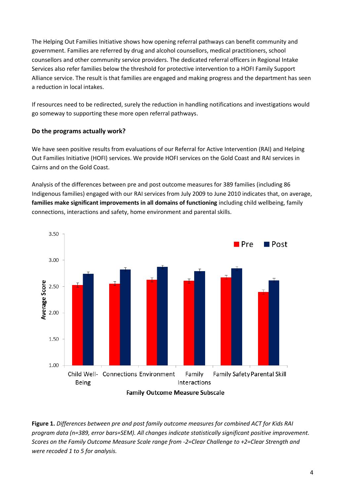The Helping Out Families Initiative shows how opening referral pathways can benefit community and government. Families are referred by drug and alcohol counsellors, medical practitioners, school counsellors and other community service providers. The dedicated referral officers in Regional Intake Services also refer families below the threshold for protective intervention to a HOFI Family Support Alliance service. The result is that families are engaged and making progress and the department has seen a reduction in local intakes.

If resources need to be redirected, surely the reduction in handling notifications and investigations would go someway to supporting these more open referral pathways.

# **Do the programs actually work?**

We have seen positive results from evaluations of our Referral for Active Intervention (RAI) and Helping Out Families Initiative (HOFI) services. We provide HOFI services on the Gold Coast and RAI services in Cairns and on the Gold Coast.

Analysis of the differences between pre and post outcome measures for 389 families (including 86 Indigenous families) engaged with our RAI services from July 2009 to June 2010 indicates that, on average, **families make significant improvements in all domains of functioning** including child wellbeing, family connections, interactions and safety, home environment and parental skills.



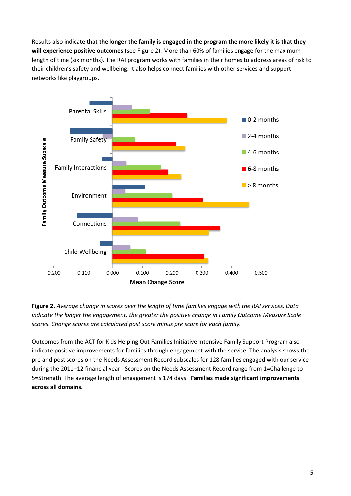Results also indicate that **the longer the family is engaged in the program the more likely it is that they will experience positive outcomes** (see Figure 2). More than 60% of families engage for the maximum length of time (six months). The RAI program works with families in their homes to address areas of risk to their children's safety and wellbeing. It also helps connect families with other services and support networks like playgroups.



**Figure 2.** *Average change in scores over the length of time families engage with the RAI services. Data indicate the longer the engagement, the greater the positive change in Family Outcome Measure Scale scores. Change scores are calculated post score minus pre score for each family.*

Outcomes from the ACT for Kids Helping Out Families Initiative Intensive Family Support Program also indicate positive improvements for families through engagement with the service. The analysis shows the pre and post scores on the Needs Assessment Record subscales for 128 families engaged with our service during the 2011–12 financial year. Scores on the Needs Assessment Record range from 1=Challenge to 5=Strength. The average length of engagement is 174 days. **Families made significant improvements across all domains.**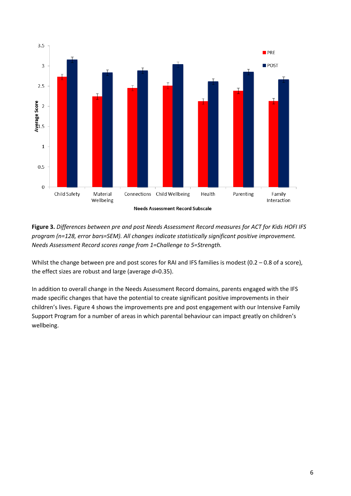

**Figure 3.** *Differences between pre and post Needs Assessment Record measures for ACT for Kids HOFI IFS program (n=128, error bars=SEM). All changes indicate statistically significant positive improvement. Needs Assessment Record scores range from 1=Challenge to 5=Strength.*

Whilst the change between pre and post scores for RAI and IFS families is modest (0.2 – 0.8 of a score), the effect sizes are robust and large (average *d*=0.35).

In addition to overall change in the Needs Assessment Record domains, parents engaged with the IFS made specific changes that have the potential to create significant positive improvements in their children's lives. Figure 4 shows the improvements pre and post engagement with our Intensive Family Support Program for a number of areas in which parental behaviour can impact greatly on children's wellbeing.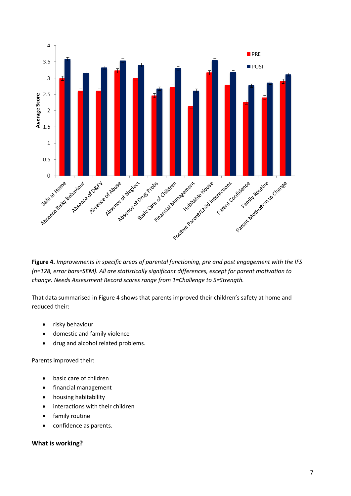

**Figure 4.** *Improvements in specific areas of parental functioning, pre and post engagement with the IFS (n=128, error bars=SEM). All are statistically significant differences, except for parent motivation to change. Needs Assessment Record scores range from 1=Challenge to 5=Strength.*

That data summarised in Figure 4 shows that parents improved their children's safety at home and reduced their:

- risky behaviour
- domestic and family violence
- drug and alcohol related problems.

Parents improved their:

- basic care of children
- financial management
- housing habitability
- interactions with their children
- **•** family routine
- confidence as parents.

# **What is working?**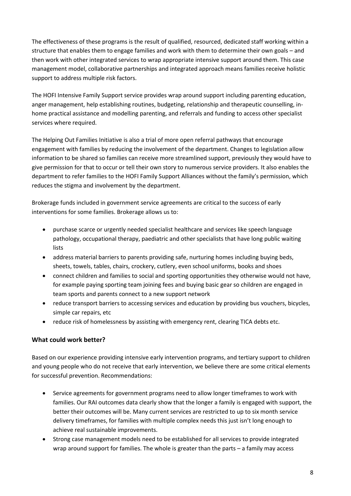The effectiveness of these programs is the result of qualified, resourced, dedicated staff working within a structure that enables them to engage families and work with them to determine their own goals – and then work with other integrated services to wrap appropriate intensive support around them. This case management model, collaborative partnerships and integrated approach means families receive holistic support to address multiple risk factors.

The HOFI Intensive Family Support service provides wrap around support including parenting education, anger management, help establishing routines, budgeting, relationship and therapeutic counselling, inhome practical assistance and modelling parenting, and referrals and funding to access other specialist services where required.

The Helping Out Families Initiative is also a trial of more open referral pathways that encourage engagement with families by reducing the involvement of the department. Changes to legislation allow information to be shared so families can receive more streamlined support, previously they would have to give permission for that to occur or tell their own story to numerous service providers. It also enables the department to refer families to the HOFI Family Support Alliances without the family's permission, which reduces the stigma and involvement by the department.

Brokerage funds included in government service agreements are critical to the success of early interventions for some families. Brokerage allows us to:

- purchase scarce or urgently needed specialist healthcare and services like speech language pathology, occupational therapy, paediatric and other specialists that have long public waiting lists
- address material barriers to parents providing safe, nurturing homes including buying beds, sheets, towels, tables, chairs, crockery, cutlery, even school uniforms, books and shoes
- connect children and families to social and sporting opportunities they otherwise would not have, for example paying sporting team joining fees and buying basic gear so children are engaged in team sports and parents connect to a new support network
- reduce transport barriers to accessing services and education by providing bus vouchers, bicycles, simple car repairs, etc
- reduce risk of homelessness by assisting with emergency rent, clearing TICA debts etc.

# **What could work better?**

Based on our experience providing intensive early intervention programs, and tertiary support to children and young people who do not receive that early intervention, we believe there are some critical elements for successful prevention. Recommendations:

- Service agreements for government programs need to allow longer timeframes to work with families. Our RAI outcomes data clearly show that the longer a family is engaged with support, the better their outcomes will be. Many current services are restricted to up to six month service delivery timeframes, for families with multiple complex needs this just isn't long enough to achieve real sustainable improvements.
- Strong case management models need to be established for all services to provide integrated wrap around support for families. The whole is greater than the parts – a family may access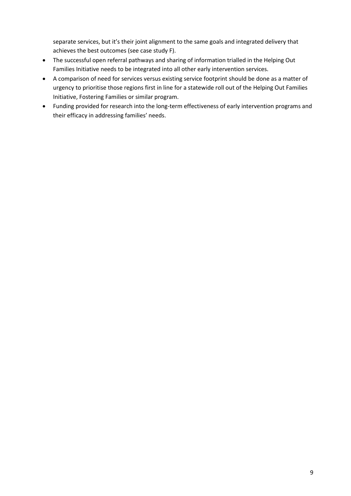separate services, but it's their joint alignment to the same goals and integrated delivery that achieves the best outcomes (see case study F).

- The successful open referral pathways and sharing of information trialled in the Helping Out Families Initiative needs to be integrated into all other early intervention services.
- A comparison of need for services versus existing service footprint should be done as a matter of urgency to prioritise those regions first in line for a statewide roll out of the Helping Out Families Initiative, Fostering Families or similar program.
- Funding provided for research into the long-term effectiveness of early intervention programs and their efficacy in addressing families' needs.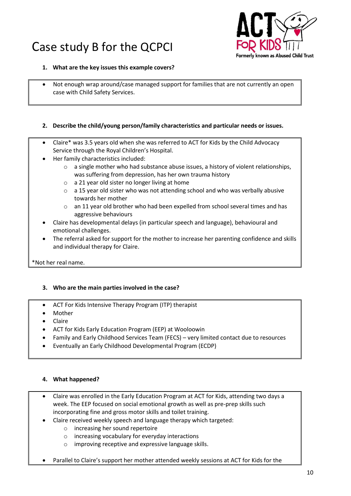# Case study B for the QCPCI



#### **1. What are the key issues this example covers?**

 Not enough wrap around/case managed support for families that are not currently an open case with Child Safety Services.

#### **2. Describe the child/young person/family characteristics and particular needs or issues.**

- Claire\* was 3.5 years old when she was referred to ACT for Kids by the Child Advocacy Service through the Royal Children's Hospital.
- Her family characteristics included:
	- $\circ$  a single mother who had substance abuse issues, a history of violent relationships, was suffering from depression, has her own trauma history
	- o a 21 year old sister no longer living at home
	- $\circ$  a 15 year old sister who was not attending school and who was verbally abusive towards her mother
	- o an 11 year old brother who had been expelled from school several times and has aggressive behaviours
- Claire has developmental delays (in particular speech and language), behavioural and emotional challenges.
- The referral asked for support for the mother to increase her parenting confidence and skills and individual therapy for Claire.

\*Not her real name.

# **3. Who are the main parties involved in the case?**

- ACT For Kids Intensive Therapy Program (ITP) therapist
- Mother
- Claire
- ACT for Kids Early Education Program (EEP) at Wooloowin
- Family and Early Childhood Services Team (FECS) very limited contact due to resources
- Eventually an Early Childhood Developmental Program (ECDP)

- Claire was enrolled in the Early Education Program at ACT for Kids, attending two days a week. The EEP focused on social emotional growth as well as pre-prep skills such incorporating fine and gross motor skills and toilet training.
- Claire received weekly speech and language therapy which targeted:
	- o increasing her sound repertoire
	- o increasing vocabulary for everyday interactions
	- o improving receptive and expressive language skills.
- Parallel to Claire's support her mother attended weekly sessions at ACT for Kids for the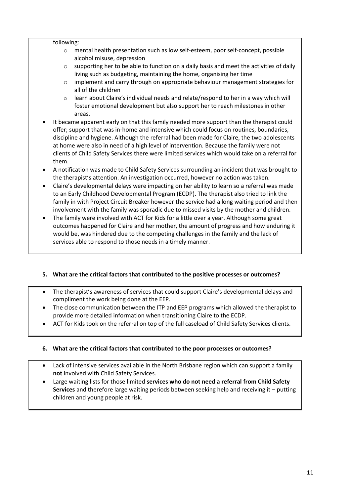#### following:

- o mental health presentation such as low self-esteem, poor self-concept, possible alcohol misuse, depression
- $\circ$  supporting her to be able to function on a daily basis and meet the activities of daily living such as budgeting, maintaining the home, organising her time
- $\circ$  implement and carry through on appropriate behaviour management strategies for all of the children
- $\circ$  learn about Claire's individual needs and relate/respond to her in a way which will foster emotional development but also support her to reach milestones in other areas.
- It became apparent early on that this family needed more support than the therapist could offer; support that was in-home and intensive which could focus on routines, boundaries, discipline and hygiene. Although the referral had been made for Claire, the two adolescents at home were also in need of a high level of intervention. Because the family were not clients of Child Safety Services there were limited services which would take on a referral for them.
- A notification was made to Child Safety Services surrounding an incident that was brought to the therapist's attention. An investigation occurred, however no action was taken.
- Claire's developmental delays were impacting on her ability to learn so a referral was made to an Early Childhood Developmental Program (ECDP). The therapist also tried to link the family in with Project Circuit Breaker however the service had a long waiting period and then involvement with the family was sporadic due to missed visits by the mother and children.
- The family were involved with ACT for Kids for a little over a year. Although some great outcomes happened for Claire and her mother, the amount of progress and how enduring it would be, was hindered due to the competing challenges in the family and the lack of services able to respond to those needs in a timely manner.

# **5. What are the critical factors that contributed to the positive processes or outcomes?**

- The therapist's awareness of services that could support Claire's developmental delays and compliment the work being done at the EEP.
- The close communication between the ITP and EEP programs which allowed the therapist to provide more detailed information when transitioning Claire to the ECDP.
- ACT for Kids took on the referral on top of the full caseload of Child Safety Services clients.

# **6. What are the critical factors that contributed to the poor processes or outcomes?**

- Lack of intensive services available in the North Brisbane region which can support a family **not** involved with Child Safety Services.
- Large waiting lists for those limited **services who do not need a referral from Child Safety Services** and therefore large waiting periods between seeking help and receiving it – putting children and young people at risk.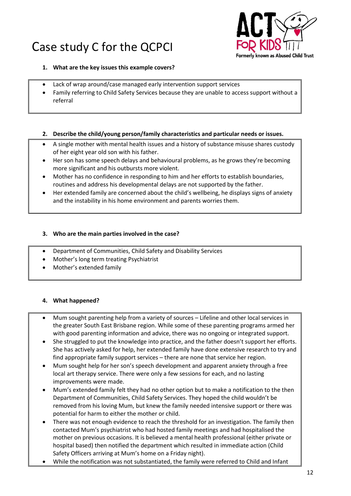# Case study C for the QCPCI



#### **1. What are the key issues this example covers?**

- Lack of wrap around/case managed early intervention support services
- Family referring to Child Safety Services because they are unable to access support without a referral

#### **2. Describe the child/young person/family characteristics and particular needs or issues.**

- A single mother with mental health issues and a history of substance misuse shares custody of her eight year old son with his father.
- Her son has some speech delays and behavioural problems, as he grows they're becoming more significant and his outbursts more violent.
- Mother has no confidence in responding to him and her efforts to establish boundaries, routines and address his developmental delays are not supported by the father.
- Her extended family are concerned about the child's wellbeing, he displays signs of anxiety and the instability in his home environment and parents worries them.

### **3. Who are the main parties involved in the case?**

- Department of Communities, Child Safety and Disability Services
- Mother's long term treating Psychiatrist
- Mother's extended family

- Mum sought parenting help from a variety of sources Lifeline and other local services in the greater South East Brisbane region. While some of these parenting programs armed her with good parenting information and advice, there was no ongoing or integrated support.
- She struggled to put the knowledge into practice, and the father doesn't support her efforts. She has actively asked for help, her extended family have done extensive research to try and find appropriate family support services – there are none that service her region.
- Mum sought help for her son's speech development and apparent anxiety through a free local art therapy service. There were only a few sessions for each, and no lasting improvements were made.
- Mum's extended family felt they had no other option but to make a notification to the then Department of Communities, Child Safety Services. They hoped the child wouldn't be removed from his loving Mum, but knew the family needed intensive support or there was potential for harm to either the mother or child.
- There was not enough evidence to reach the threshold for an investigation. The family then contacted Mum's psychiatrist who had hosted family meetings and had hospitalised the mother on previous occasions. It is believed a mental health professional (either private or hospital based) then notified the department which resulted in immediate action (Child Safety Officers arriving at Mum's home on a Friday night).
- While the notification was not substantiated, the family were referred to Child and Infant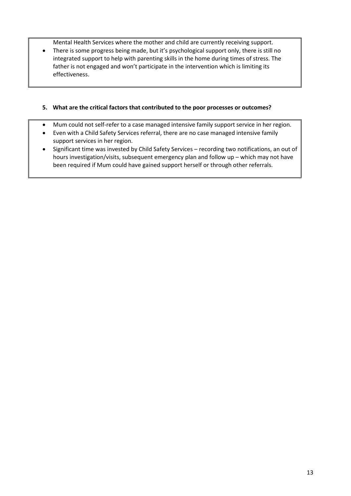Mental Health Services where the mother and child are currently receiving support.

 There is some progress being made, but it's psychological support only, there is still no integrated support to help with parenting skills in the home during times of stress. The father is not engaged and won't participate in the intervention which is limiting its effectiveness.

# **5. What are the critical factors that contributed to the poor processes or outcomes?**

- Mum could not self-refer to a case managed intensive family support service in her region.
- Even with a Child Safety Services referral, there are no case managed intensive family support services in her region.
- Significant time was invested by Child Safety Services recording two notifications, an out of hours investigation/visits, subsequent emergency plan and follow up – which may not have been required if Mum could have gained support herself or through other referrals.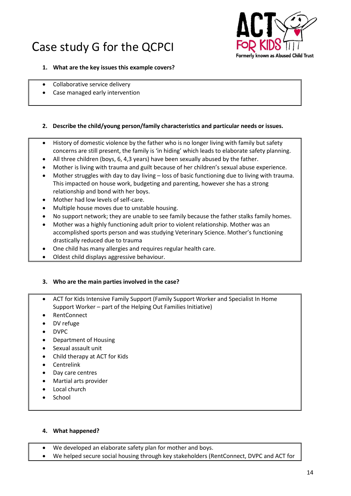# Case study G for the QCPCI



#### **1. What are the key issues this example covers?**

- Collaborative service delivery
- Case managed early intervention

### **2. Describe the child/young person/family characteristics and particular needs or issues.**

- History of domestic violence by the father who is no longer living with family but safety concerns are still present, the family is 'in hiding' which leads to elaborate safety planning.
- All three children (boys, 6, 4,3 years) have been sexually abused by the father.
- Mother is living with trauma and guilt because of her children's sexual abuse experience.
- Mother struggles with day to day living loss of basic functioning due to living with trauma. This impacted on house work, budgeting and parenting, however she has a strong relationship and bond with her boys.
- Mother had low levels of self-care.
- Multiple house moves due to unstable housing.
- No support network; they are unable to see family because the father stalks family homes.
- Mother was a highly functioning adult prior to violent relationship. Mother was an accomplished sports person and was studying Veterinary Science. Mother's functioning drastically reduced due to trauma
- One child has many allergies and requires regular health care.
- Oldest child displays aggressive behaviour.

# **3. Who are the main parties involved in the case?**

- ACT for Kids Intensive Family Support (Family Support Worker and Specialist In Home Support Worker – part of the Helping Out Families Initiative)
- RentConnect
- DV refuge
- DVPC
- Department of Housing
- Sexual assault unit
- Child therapy at ACT for Kids
- Centrelink
- Day care centres
- Martial arts provider
- Local church
- School

- We developed an elaborate safety plan for mother and boys.
- We helped secure social housing through key stakeholders (RentConnect, DVPC and ACT for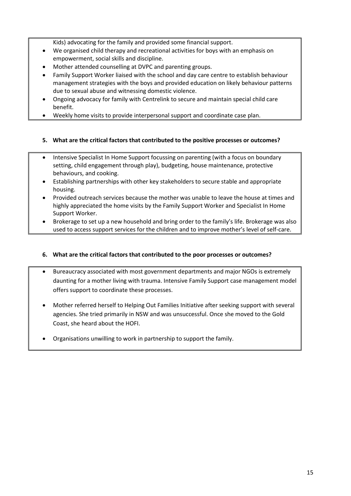Kids) advocating for the family and provided some financial support.

- We organised child therapy and recreational activities for boys with an emphasis on empowerment, social skills and discipline.
- Mother attended counselling at DVPC and parenting groups.
- Family Support Worker liaised with the school and day care centre to establish behaviour management strategies with the boys and provided education on likely behaviour patterns due to sexual abuse and witnessing domestic violence.
- Ongoing advocacy for family with Centrelink to secure and maintain special child care benefit.
- Weekly home visits to provide interpersonal support and coordinate case plan.

# **5. What are the critical factors that contributed to the positive processes or outcomes?**

- Intensive Specialist In Home Support focussing on parenting (with a focus on boundary setting, child engagement through play), budgeting, house maintenance, protective behaviours, and cooking.
- Establishing partnerships with other key stakeholders to secure stable and appropriate housing.
- Provided outreach services because the mother was unable to leave the house at times and highly appreciated the home visits by the Family Support Worker and Specialist In Home Support Worker.
- Brokerage to set up a new household and bring order to the family's life. Brokerage was also used to access support services for the children and to improve mother's level of self-care.

# **6. What are the critical factors that contributed to the poor processes or outcomes?**

- Bureaucracy associated with most government departments and major NGOs is extremely daunting for a mother living with trauma. Intensive Family Support case management model offers support to coordinate these processes.
- Mother referred herself to Helping Out Families Initiative after seeking support with several agencies. She tried primarily in NSW and was unsuccessful. Once she moved to the Gold Coast, she heard about the HOFI.
- Organisations unwilling to work in partnership to support the family.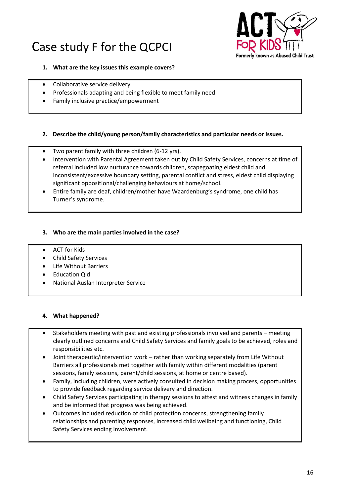# Case study F for the QCPCI



#### **1. What are the key issues this example covers?**

- Collaborative service delivery
- Professionals adapting and being flexible to meet family need
- Family inclusive practice/empowerment

#### **2. Describe the child/young person/family characteristics and particular needs or issues.**

- Two parent family with three children (6-12 yrs).
- Intervention with Parental Agreement taken out by Child Safety Services, concerns at time of referral included low nurturance towards children, scapegoating eldest child and inconsistent/excessive boundary setting, parental conflict and stress, eldest child displaying significant oppositional/challenging behaviours at home/school.
- Entire family are deaf, children/mother have Waardenburg's syndrome, one child has Turner's syndrome.

### **3. Who are the main parties involved in the case?**

- ACT for Kids
- Child Safety Services
- Life Without Barriers
- Education Qld
- National Auslan Interpreter Service

- Stakeholders meeting with past and existing professionals involved and parents meeting clearly outlined concerns and Child Safety Services and family goals to be achieved, roles and responsibilities etc.
- Joint therapeutic/intervention work rather than working separately from Life Without Barriers all professionals met together with family within different modalities (parent sessions, family sessions, parent/child sessions, at home or centre based).
- Family, including children, were actively consulted in decision making process, opportunities to provide feedback regarding service delivery and direction.
- Child Safety Services participating in therapy sessions to attest and witness changes in family and be informed that progress was being achieved.
- Outcomes included reduction of child protection concerns, strengthening family relationships and parenting responses, increased child wellbeing and functioning, Child Safety Services ending involvement.